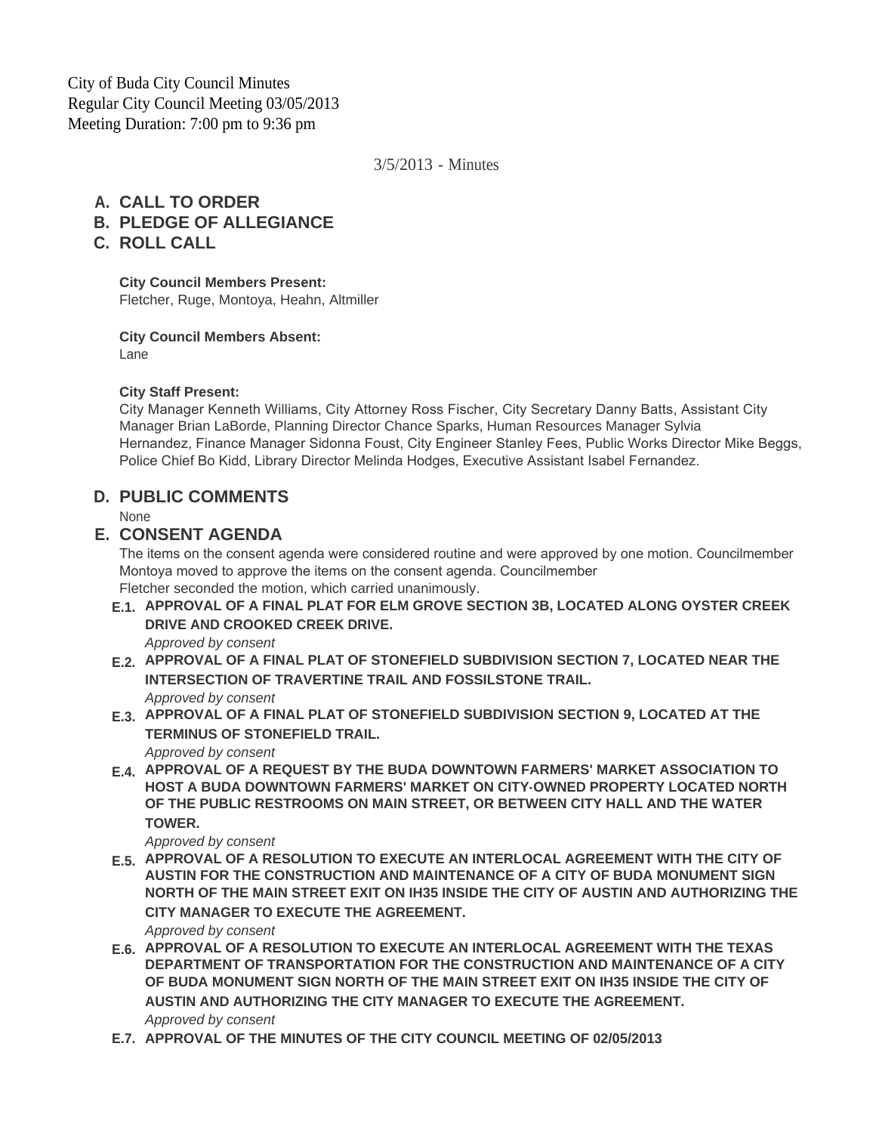City of Buda City Council Minutes Regular City Council Meeting 03/05/2013 Meeting Duration: 7:00 pm to 9:36 pm

3/5/2013 - Minutes

## **CALL TO ORDER A.**

- **PLEDGE OF ALLEGIANCE B.**
- **ROLL CALL C.**

**City Council Members Present:**

Fletcher, Ruge, Montoya, Heahn, Altmiller

**City Council Members Absent:**

Lane

#### **City Staff Present:**

City Manager Kenneth Williams, City Attorney Ross Fischer, City Secretary Danny Batts, Assistant City Manager Brian LaBorde, Planning Director Chance Sparks, Human Resources Manager Sylvia Hernandez, Finance Manager Sidonna Foust, City Engineer Stanley Fees, Public Works Director Mike Beggs, Police Chief Bo Kidd, Library Director Melinda Hodges, Executive Assistant Isabel Fernandez.

### **PUBLIC COMMENTS D.**

None

### **CONSENT AGENDA E.**

The items on the consent agenda were considered routine and were approved by one motion. Councilmember Montoya moved to approve the items on the consent agenda. Councilmember Fletcher seconded the motion, which carried unanimously.

**APPROVAL OF A FINAL PLAT FOR ELM GROVE SECTION 3B, LOCATED ALONG OYSTER CREEK E.1. DRIVE AND CROOKED CREEK DRIVE.**

*Approved by consent*

- **APPROVAL OF A FINAL PLAT OF STONEFIELD SUBDIVISION SECTION 7, LOCATED NEAR THE E.2. INTERSECTION OF TRAVERTINE TRAIL AND FOSSILSTONE TRAIL.** *Approved by consent*
- **APPROVAL OF A FINAL PLAT OF STONEFIELD SUBDIVISION SECTION 9, LOCATED AT THE E.3. TERMINUS OF STONEFIELD TRAIL.**

*Approved by consent*

**APPROVAL OF A REQUEST BY THE BUDA DOWNTOWN FARMERS' MARKET ASSOCIATION TO E.4. HOST A BUDA DOWNTOWN FARMERS' MARKET ON CITY-OWNED PROPERTY LOCATED NORTH OF THE PUBLIC RESTROOMS ON MAIN STREET, OR BETWEEN CITY HALL AND THE WATER TOWER.**

*Approved by consent*

**APPROVAL OF A RESOLUTION TO EXECUTE AN INTERLOCAL AGREEMENT WITH THE CITY OF E.5. AUSTIN FOR THE CONSTRUCTION AND MAINTENANCE OF A CITY OF BUDA MONUMENT SIGN NORTH OF THE MAIN STREET EXIT ON IH35 INSIDE THE CITY OF AUSTIN AND AUTHORIZING THE CITY MANAGER TO EXECUTE THE AGREEMENT.**

*Approved by consent*

- **APPROVAL OF A RESOLUTION TO EXECUTE AN INTERLOCAL AGREEMENT WITH THE TEXAS E.6. DEPARTMENT OF TRANSPORTATION FOR THE CONSTRUCTION AND MAINTENANCE OF A CITY OF BUDA MONUMENT SIGN NORTH OF THE MAIN STREET EXIT ON IH35 INSIDE THE CITY OF AUSTIN AND AUTHORIZING THE CITY MANAGER TO EXECUTE THE AGREEMENT.** *Approved by consent*
- **APPROVAL OF THE MINUTES OF THE CITY COUNCIL MEETING OF 02/05/2013 E.7.**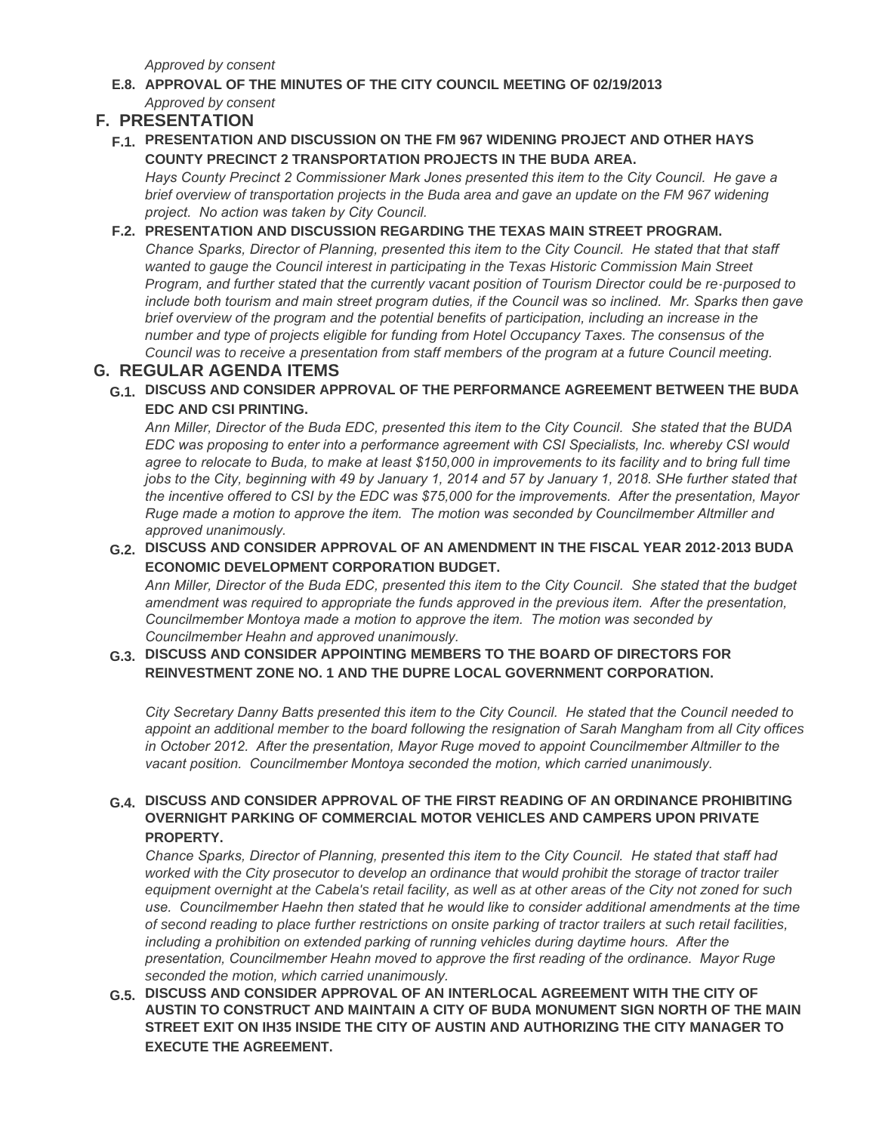*Approved by consent*

**APPROVAL OF THE MINUTES OF THE CITY COUNCIL MEETING OF 02/19/2013 E.8.** *Approved by consent*

## **PRESENTATION F.**

**PRESENTATION AND DISCUSSION ON THE FM 967 WIDENING PROJECT AND OTHER HAYS F.1. COUNTY PRECINCT 2 TRANSPORTATION PROJECTS IN THE BUDA AREA.**

*Hays County Precinct 2 Commissioner Mark Jones presented this item to the City Council. He gave a brief overview of transportation projects in the Buda area and gave an update on the FM 967 widening project. No action was taken by City Council.*

#### **PRESENTATION AND DISCUSSION REGARDING THE TEXAS MAIN STREET PROGRAM. F.2.**

*Chance Sparks, Director of Planning, presented this item to the City Council. He stated that that staff*  wanted to gauge the Council interest in participating in the Texas Historic Commission Main Street *Program, and further stated that the currently vacant position of Tourism Director could be re-purposed to include both tourism and main street program duties, if the Council was so inclined. Mr. Sparks then gave brief overview of the program and the potential benefits of participation, including an increase in the number and type of projects eligible for funding from Hotel Occupancy Taxes. The consensus of the Council was to receive a presentation from staff members of the program at a future Council meeting.*

# **REGULAR AGENDA ITEMS G.**

**DISCUSS AND CONSIDER APPROVAL OF THE PERFORMANCE AGREEMENT BETWEEN THE BUDA G.1. EDC AND CSI PRINTING.**

*Ann Miller, Director of the Buda EDC, presented this item to the City Council. She stated that the BUDA EDC was proposing to enter into a performance agreement with CSI Specialists, Inc. whereby CSI would*  agree to relocate to Buda, to make at least \$150,000 in improvements to its facility and to bring full time *jobs to the City, beginning with 49 by January 1, 2014 and 57 by January 1, 2018. SHe further stated that the incentive offered to CSI by the EDC was \$75,000 for the improvements. After the presentation, Mayor Ruge made a motion to approve the item. The motion was seconded by Councilmember Altmiller and approved unanimously.* 

**DISCUSS AND CONSIDER APPROVAL OF AN AMENDMENT IN THE FISCAL YEAR 2012-2013 BUDA G.2. ECONOMIC DEVELOPMENT CORPORATION BUDGET.**

*Ann Miller, Director of the Buda EDC, presented this item to the City Council. She stated that the budget amendment was required to appropriate the funds approved in the previous item. After the presentation, Councilmember Montoya made a motion to approve the item. The motion was seconded by Councilmember Heahn and approved unanimously.* 

#### **DISCUSS AND CONSIDER APPOINTING MEMBERS TO THE BOARD OF DIRECTORS FOR G.3. REINVESTMENT ZONE NO. 1 AND THE DUPRE LOCAL GOVERNMENT CORPORATION.**

*City Secretary Danny Batts presented this item to the City Council. He stated that the Council needed to appoint an additional member to the board following the resignation of Sarah Mangham from all City offices in October 2012. After the presentation, Mayor Ruge moved to appoint Councilmember Altmiller to the vacant position. Councilmember Montoya seconded the motion, which carried unanimously.*

#### **DISCUSS AND CONSIDER APPROVAL OF THE FIRST READING OF AN ORDINANCE PROHIBITING G.4. OVERNIGHT PARKING OF COMMERCIAL MOTOR VEHICLES AND CAMPERS UPON PRIVATE PROPERTY.**

*Chance Sparks, Director of Planning, presented this item to the City Council. He stated that staff had worked with the City prosecutor to develop an ordinance that would prohibit the storage of tractor trailer*  equipment overnight at the Cabela's retail facility, as well as at other areas of the City not zoned for such *use. Councilmember Haehn then stated that he would like to consider additional amendments at the time of second reading to place further restrictions on onsite parking of tractor trailers at such retail facilities, including a prohibition on extended parking of running vehicles during daytime hours. After the presentation, Councilmember Heahn moved to approve the first reading of the ordinance. Mayor Ruge seconded the motion, which carried unanimously.*

**DISCUSS AND CONSIDER APPROVAL OF AN INTERLOCAL AGREEMENT WITH THE CITY OF G.5. AUSTIN TO CONSTRUCT AND MAINTAIN A CITY OF BUDA MONUMENT SIGN NORTH OF THE MAIN STREET EXIT ON IH35 INSIDE THE CITY OF AUSTIN AND AUTHORIZING THE CITY MANAGER TO EXECUTE THE AGREEMENT.**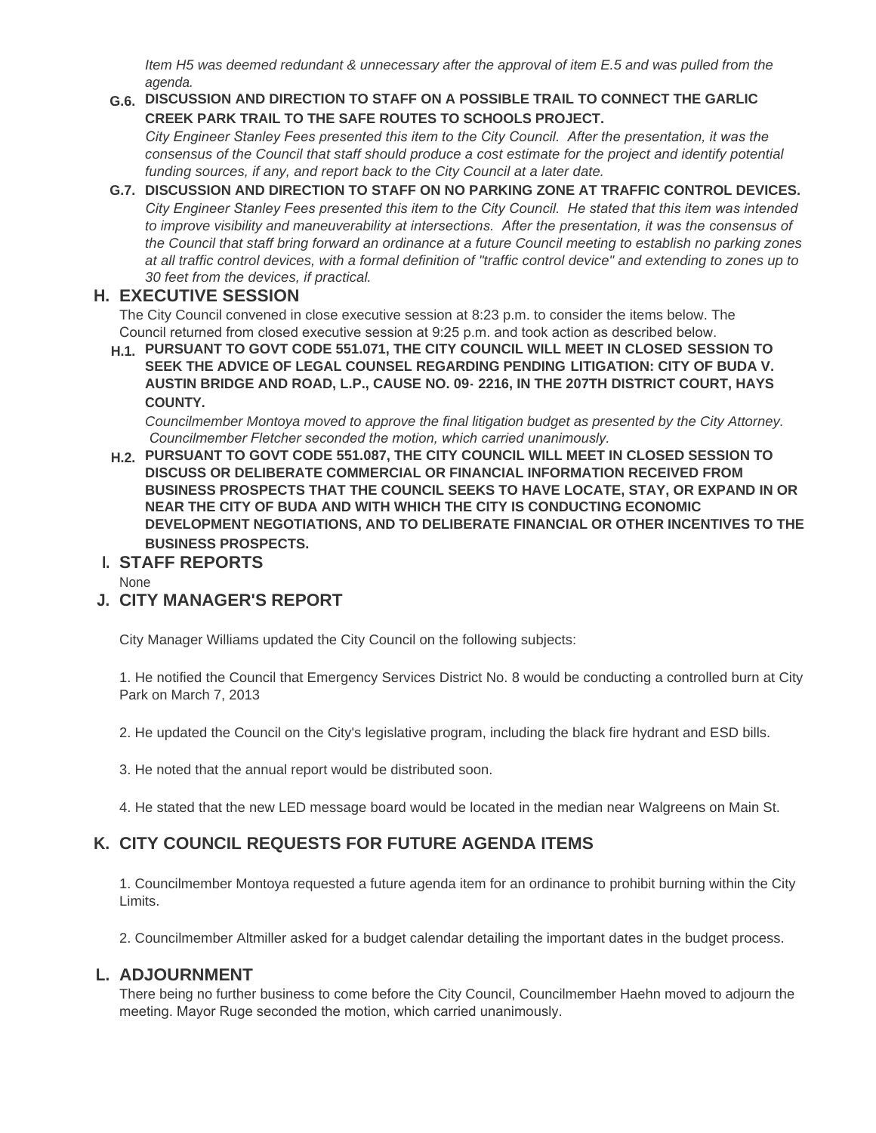*Item H5 was deemed redundant & unnecessary after the approval of item E.5 and was pulled from the agenda.*

#### **DISCUSSION AND DIRECTION TO STAFF ON A POSSIBLE TRAIL TO CONNECT THE GARLIC G.6. CREEK PARK TRAIL TO THE SAFE ROUTES TO SCHOOLS PROJECT.**

*City Engineer Stanley Fees presented this item to the City Council. After the presentation, it was the consensus of the Council that staff should produce a cost estimate for the project and identify potential funding sources, if any, and report back to the City Council at a later date.*

#### **DISCUSSION AND DIRECTION TO STAFF ON NO PARKING ZONE AT TRAFFIC CONTROL DEVICES. G.7.** *City Engineer Stanley Fees presented this item to the City Council. He stated that this item was intended to improve visibility and maneuverability at intersections. After the presentation, it was the consensus of the Council that staff bring forward an ordinance at a future Council meeting to establish no parking zones at all traffic control devices, with a formal definition of "traffic control device" and extending to zones up to 30 feet from the devices, if practical.*

# **EXECUTIVE SESSION H.**

The City Council convened in close executive session at 8:23 p.m. to consider the items below. The Council returned from closed executive session at 9:25 p.m. and took action as described below.

**PURSUANT TO GOVT CODE 551.071, THE CITY COUNCIL WILL MEET IN CLOSED SESSION TO H.1. SEEK THE ADVICE OF LEGAL COUNSEL REGARDING PENDING LITIGATION: CITY OF BUDA V. AUSTIN BRIDGE AND ROAD, L.P., CAUSE NO. 09- 2216, IN THE 207TH DISTRICT COURT, HAYS COUNTY.**

*Councilmember Montoya moved to approve the final litigation budget as presented by the City Attorney. Councilmember Fletcher seconded the motion, which carried unanimously.*

**PURSUANT TO GOVT CODE 551.087, THE CITY COUNCIL WILL MEET IN CLOSED SESSION TO H.2. DISCUSS OR DELIBERATE COMMERCIAL OR FINANCIAL INFORMATION RECEIVED FROM BUSINESS PROSPECTS THAT THE COUNCIL SEEKS TO HAVE LOCATE, STAY, OR EXPAND IN OR NEAR THE CITY OF BUDA AND WITH WHICH THE CITY IS CONDUCTING ECONOMIC DEVELOPMENT NEGOTIATIONS, AND TO DELIBERATE FINANCIAL OR OTHER INCENTIVES TO THE BUSINESS PROSPECTS.**

# **STAFF REPORTS I.**

None

# **CITY MANAGER'S REPORT J.**

City Manager Williams updated the City Council on the following subjects:

1. He notified the Council that Emergency Services District No. 8 would be conducting a controlled burn at City Park on March 7, 2013

2. He updated the Council on the City's legislative program, including the black fire hydrant and ESD bills.

- 3. He noted that the annual report would be distributed soon.
- 4. He stated that the new LED message board would be located in the median near Walgreens on Main St.

# **CITY COUNCIL REQUESTS FOR FUTURE AGENDA ITEMS K.**

1. Councilmember Montoya requested a future agenda item for an ordinance to prohibit burning within the City Limits.

2. Councilmember Altmiller asked for a budget calendar detailing the important dates in the budget process.

### **ADJOURNMENT L.**

There being no further business to come before the City Council, Councilmember Haehn moved to adjourn the meeting. Mayor Ruge seconded the motion, which carried unanimously.